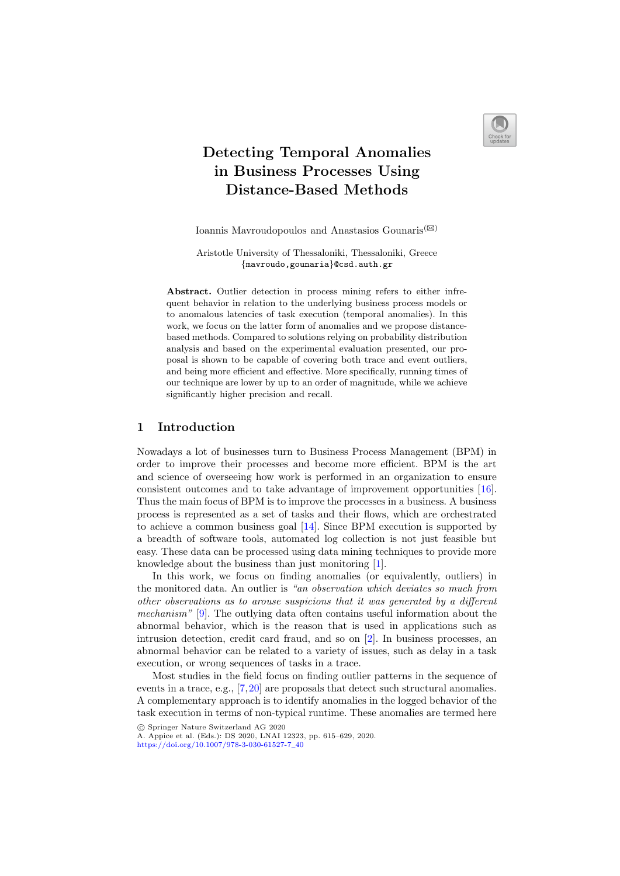

# Detecting Temporal Anomalies in Business Processes Using Distance-Based Methods

Ioannis Mavroudopoulos and Anastasios Gounaris<sup>( $\boxtimes$ )</sup>

Aristotle University of Thessaloniki, Thessaloniki, Greece {mavroudo,gounaria}@csd.auth.gr

Abstract. Outlier detection in process mining refers to either infrequent behavior in relation to the underlying business process models or to anomalous latencies of task execution (temporal anomalies). In this work, we focus on the latter form of anomalies and we propose distancebased methods. Compared to solutions relying on probability distribution analysis and based on the experimental evaluation presented, our proposal is shown to be capable of covering both trace and event outliers, and being more efficient and effective. More specifically, running times of our technique are lower by up to an order of magnitude, while we achieve significantly higher precision and recall.

## 1 Introduction

Nowadays a lot of businesses turn to Business Process Management (BPM) in order to improve their processes and become more efficient. BPM is the art and science of overseeing how work is performed in an organization to ensure consistent outcomes and to take advantage of improvement opportunities [16]. Thus the main focus of BPM is to improve the processes in a business. A business process is represented as a set of tasks and their flows, which are orchestrated to achieve a common business goal [14]. Since BPM execution is supported by a breadth of software tools, automated log collection is not just feasible but easy. These data can be processed using data mining techniques to provide more knowledge about the business than just monitoring [1].

In this work, we focus on finding anomalies (or equivalently, outliers) in the monitored data. An outlier is "an observation which deviates so much from other observations as to arouse suspicions that it was generated by a different mechanism" [9]. The outlying data often contains useful information about the abnormal behavior, which is the reason that is used in applications such as intrusion detection, credit card fraud, and so on [2]. In business processes, an abnormal behavior can be related to a variety of issues, such as delay in a task execution, or wrong sequences of tasks in a trace.

Most studies in the field focus on finding outlier patterns in the sequence of events in a trace, e.g., [7,20] are proposals that detect such structural anomalies. A complementary approach is to identify anomalies in the logged behavior of the task execution in terms of non-typical runtime. These anomalies are termed here

�c Springer Nature Switzerland AG 2020

A. Appice et al. (Eds.): DS 2020, LNAI 12323, pp. 615–629, 2020.

https://doi.org/10.1007/978-3-030-61527-7\_40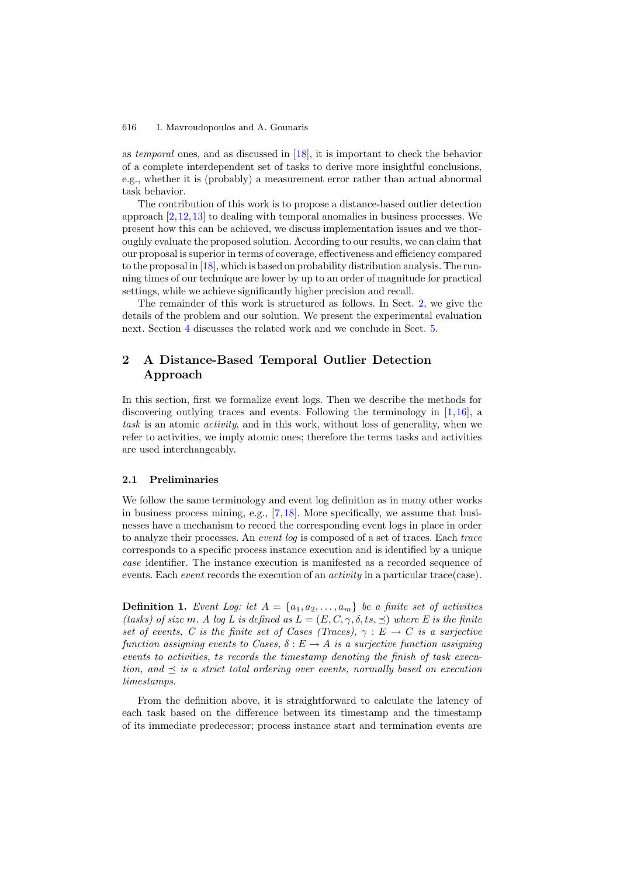as temporal ones, and as discussed in [18], it is important to check the behavior of a complete interdependent set of tasks to derive more insightful conclusions, e.g., whether it is (probably) a measurement error rather than actual abnormal task behavior.

The contribution of this work is to propose a distance-based outlier detection approach [2,12,13] to dealing with temporal anomalies in business processes. We present how this can be achieved, we discuss implementation issues and we thoroughly evaluate the proposed solution. According to our results, we can claim that our proposal is superior in terms of coverage, effectiveness and efficiency compared to the proposal in [18], which is based on probability distribution analysis. The running times of our technique are lower by up to an order of magnitude for practical settings, while we achieve significantly higher precision and recall.

The remainder of this work is structured as follows. In Sect. 2, we give the details of the problem and our solution. We present the experimental evaluation next. Section 4 discusses the related work and we conclude in Sect. 5.

# 2 A Distance-Based Temporal Outlier Detection Approach

In this section, first we formalize event logs. Then we describe the methods for discovering outlying traces and events. Following the terminology in [1,16], a task is an atomic activity, and in this work, without loss of generality, when we refer to activities, we imply atomic ones; therefore the terms tasks and activities are used interchangeably.

### 2.1 Preliminaries

We follow the same terminology and event log definition as in many other works in business process mining, e.g., [7,18]. More specifically, we assume that businesses have a mechanism to record the corresponding event logs in place in order to analyze their processes. An event log is composed of a set of traces. Each trace corresponds to a specific process instance execution and is identified by a unique case identifier. The instance execution is manifested as a recorded sequence of events. Each *event* records the execution of an *activity* in a particular trace(case).

**Definition 1.** Event Log: let  $A = \{a_1, a_2, \ldots, a_m\}$  be a finite set of activities (tasks) of size m. A log L is defined as  $L = (E, C, \gamma, \delta, ts, \preceq)$  where E is the finite set of events, C is the finite set of Cases (Traces),  $\gamma : E \to C$  is a surjective function assigning events to Cases,  $\delta : E \to A$  is a surjective function assigning events to activities, ts records the timestamp denoting the finish of task execution, and  $\preceq$  is a strict total ordering over events, normally based on execution timestamps.

From the definition above, it is straightforward to calculate the latency of each task based on the difference between its timestamp and the timestamp of its immediate predecessor; process instance start and termination events are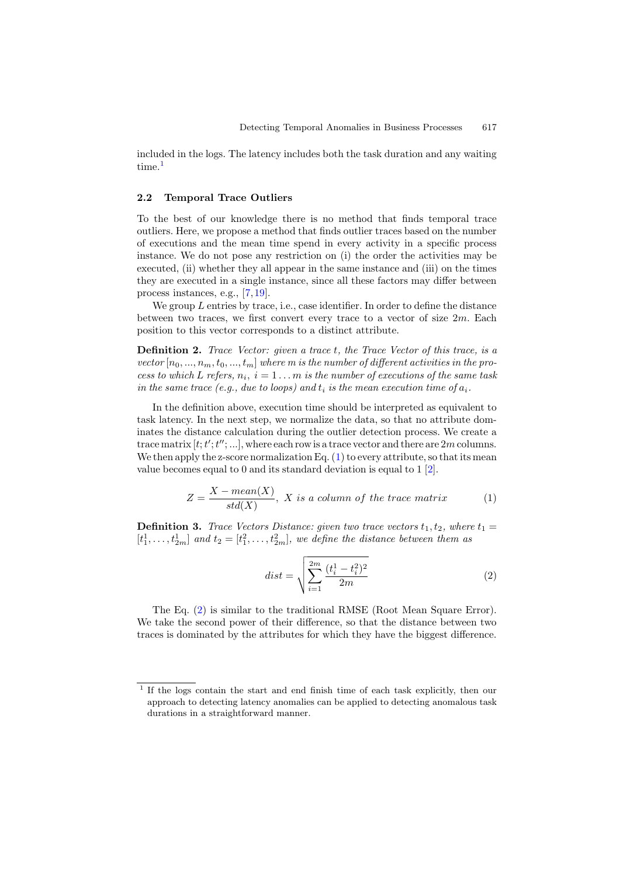included in the logs. The latency includes both the task duration and any waiting time.<sup>1</sup>

### 2.2 Temporal Trace Outliers

To the best of our knowledge there is no method that finds temporal trace outliers. Here, we propose a method that finds outlier traces based on the number of executions and the mean time spend in every activity in a specific process instance. We do not pose any restriction on (i) the order the activities may be executed, (ii) whether they all appear in the same instance and (iii) on the times they are executed in a single instance, since all these factors may differ between process instances, e.g., [7,19].

We group  $L$  entries by trace, i.e., case identifier. In order to define the distance between two traces, we first convert every trace to a vector of size  $2m$ . Each position to this vector corresponds to a distinct attribute.

Definition 2. Trace Vector: given a trace t, the Trace Vector of this trace, is a vector  $[n_0, ..., n_m, t_0, ..., t_m]$  where m is the number of different activities in the process to which L refers,  $n_i$ ,  $i = 1 \dots m$  is the number of executions of the same task in the same trace (e.g., due to loops) and  $t_i$  is the mean execution time of  $a_i$ .

In the definition above, execution time should be interpreted as equivalent to task latency. In the next step, we normalize the data, so that no attribute dominates the distance calculation during the outlier detection process. We create a trace matrix  $[t; t'; t''; ...]$ , where each row is a trace vector and there are  $2m$  columns. We then apply the z-score normalization Eq.  $(1)$  to every attribute, so that its mean value becomes equal to 0 and its standard deviation is equal to 1 [2].

$$
Z = \frac{X - mean(X)}{std(X)}, \ X \ is \ a \ column \ of \ the \ trace \ matrix \tag{1}
$$

**Definition 3.** Trace Vectors Distance: given two trace vectors  $t_1, t_2$ , where  $t_1 =$  $[t_1^1, \ldots, t_{2m}^1]$  and  $t_2 = [t_1^2, \ldots, t_{2m}^2]$ , we define the distance between them as

$$
dist = \sqrt{\sum_{i=1}^{2m} \frac{(t_i^1 - t_i^2)^2}{2m}} \tag{2}
$$

The Eq. (2) is similar to the traditional RMSE (Root Mean Square Error). We take the second power of their difference, so that the distance between two traces is dominated by the attributes for which they have the biggest difference.

<sup>1</sup> If the logs contain the start and end finish time of each task explicitly, then our approach to detecting latency anomalies can be applied to detecting anomalous task durations in a straightforward manner.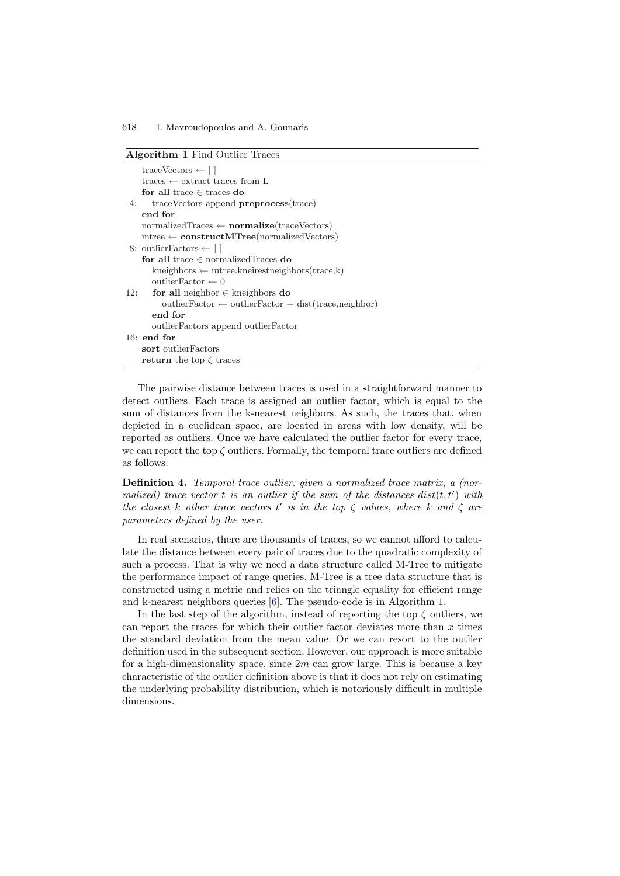### Algorithm 1 Find Outlier Traces

|    | traceVectors $\leftarrow$ []                                     |
|----|------------------------------------------------------------------|
|    | traces $\leftarrow$ extract traces from L                        |
|    | for all trace $\in$ traces do                                    |
| 4: | traceVectors append <b>preprocess</b> (trace)                    |
|    | end for                                                          |
|    | $normalizedTraces \leftarrow normalize(traceVectors)$            |
|    | $mtree \leftarrow \textbf{constructMTree}(normalizedVectors)$    |
|    | 8: outlier Factors $\leftarrow$ []                               |
|    | for all trace $\in$ normalized Traces do                         |
|    | kneighbors $\leftarrow$ mtree.kneirestneighbors(trace,k)         |
|    | outlier Factor $\leftarrow 0$                                    |
|    | 12: for all neighbor $\in$ kneighbors do                         |
|    | outlierFactor $\leftarrow$ outlierFactor + dist(trace, neighbor) |
|    | end for                                                          |
|    | outlierFactors append outlierFactor                              |
|    | $16:$ end for                                                    |
|    | sort outlier Factors                                             |
|    | <b>return</b> the top $\zeta$ traces                             |

The pairwise distance between traces is used in a straightforward manner to detect outliers. Each trace is assigned an outlier factor, which is equal to the sum of distances from the k-nearest neighbors. As such, the traces that, when depicted in a euclidean space, are located in areas with low density, will be reported as outliers. Once we have calculated the outlier factor for every trace, we can report the top  $\zeta$  outliers. Formally, the temporal trace outliers are defined as follows.

Definition 4. Temporal trace outlier: given a normalized trace matrix, a (normalized) trace vector t is an outlier if the sum of the distances  $dist(t, t')$  with the closest k other trace vectors t' is in the top  $\zeta$  values, where k and  $\zeta$  are parameters defined by the user.

In real scenarios, there are thousands of traces, so we cannot afford to calculate the distance between every pair of traces due to the quadratic complexity of such a process. That is why we need a data structure called M-Tree to mitigate the performance impact of range queries. M-Tree is a tree data structure that is constructed using a metric and relies on the triangle equality for efficient range and k-nearest neighbors queries [6]. The pseudo-code is in Algorithm 1.

In the last step of the algorithm, instead of reporting the top  $\zeta$  outliers, we can report the traces for which their outlier factor deviates more than  $x$  times the standard deviation from the mean value. Or we can resort to the outlier definition used in the subsequent section. However, our approach is more suitable for a high-dimensionality space, since  $2m$  can grow large. This is because a key characteristic of the outlier definition above is that it does not rely on estimating the underlying probability distribution, which is notoriously difficult in multiple dimensions.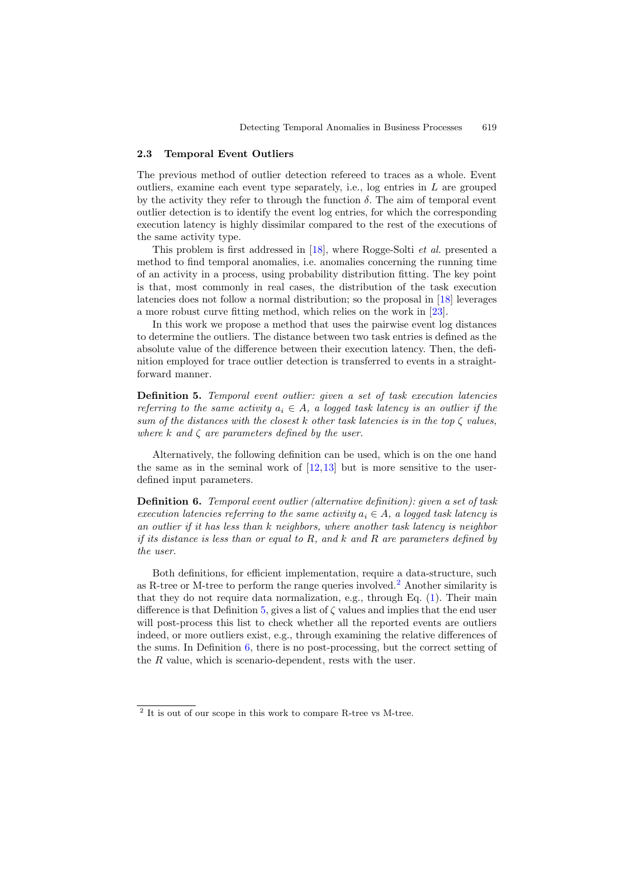### 2.3 Temporal Event Outliers

The previous method of outlier detection refereed to traces as a whole. Event outliers, examine each event type separately, i.e., log entries in  $L$  are grouped by the activity they refer to through the function  $\delta$ . The aim of temporal event outlier detection is to identify the event log entries, for which the corresponding execution latency is highly dissimilar compared to the rest of the executions of the same activity type.

This problem is first addressed in [18], where Rogge-Solti et al. presented a method to find temporal anomalies, i.e. anomalies concerning the running time of an activity in a process, using probability distribution fitting. The key point is that, most commonly in real cases, the distribution of the task execution latencies does not follow a normal distribution; so the proposal in [18] leverages a more robust curve fitting method, which relies on the work in [23].

In this work we propose a method that uses the pairwise event log distances to determine the outliers. The distance between two task entries is defined as the absolute value of the difference between their execution latency. Then, the definition employed for trace outlier detection is transferred to events in a straightforward manner.

Definition 5. Temporal event outlier: given a set of task execution latencies referring to the same activity  $a_i \in A$ , a logged task latency is an outlier if the sum of the distances with the closest k other task latencies is in the top  $\zeta$  values, where k and  $\zeta$  are parameters defined by the user.

Alternatively, the following definition can be used, which is on the one hand the same as in the seminal work of  $[12,13]$  but is more sensitive to the userdefined input parameters.

Definition 6. Temporal event outlier (alternative definition): given a set of task execution latencies referring to the same activity  $a_i \in A$ , a logged task latency is an outlier if it has less than k neighbors, where another task latency is neighbor if its distance is less than or equal to  $R$ , and  $k$  and  $R$  are parameters defined by the user.

Both definitions, for efficient implementation, require a data-structure, such as R-tree or M-tree to perform the range queries involved.<sup>2</sup> Another similarity is that they do not require data normalization, e.g., through Eq. (1). Their main difference is that Definition 5, gives a list of  $\zeta$  values and implies that the end user will post-process this list to check whether all the reported events are outliers indeed, or more outliers exist, e.g., through examining the relative differences of the sums. In Definition  $6$ , there is no post-processing, but the correct setting of the  $R$  value, which is scenario-dependent, rests with the user.

<sup>2</sup> It is out of our scope in this work to compare R-tree vs M-tree.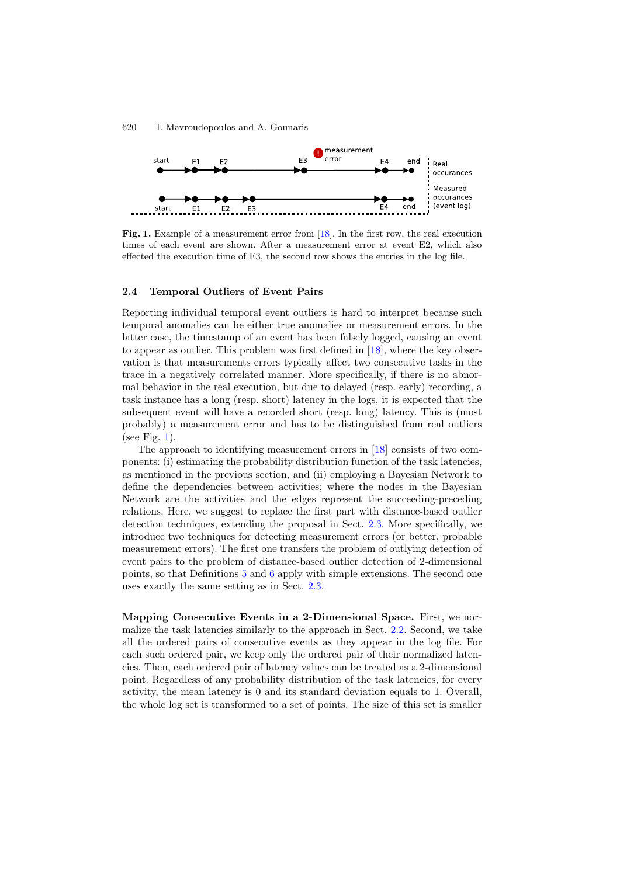

Fig. 1. Example of a measurement error from [18]. In the first row, the real execution times of each event are shown. After a measurement error at event E2, which also effected the execution time of E3, the second row shows the entries in the log file.

### 2.4 Temporal Outliers of Event Pairs

Reporting individual temporal event outliers is hard to interpret because such temporal anomalies can be either true anomalies or measurement errors. In the latter case, the timestamp of an event has been falsely logged, causing an event to appear as outlier. This problem was first defined in [18], where the key observation is that measurements errors typically affect two consecutive tasks in the trace in a negatively correlated manner. More specifically, if there is no abnormal behavior in the real execution, but due to delayed (resp. early) recording, a task instance has a long (resp. short) latency in the logs, it is expected that the subsequent event will have a recorded short (resp. long) latency. This is (most probably) a measurement error and has to be distinguished from real outliers (see Fig. 1).

The approach to identifying measurement errors in [18] consists of two components: (i) estimating the probability distribution function of the task latencies, as mentioned in the previous section, and (ii) employing a Bayesian Network to define the dependencies between activities; where the nodes in the Bayesian Network are the activities and the edges represent the succeeding-preceding relations. Here, we suggest to replace the first part with distance-based outlier detection techniques, extending the proposal in Sect. 2.3. More specifically, we introduce two techniques for detecting measurement errors (or better, probable measurement errors). The first one transfers the problem of outlying detection of event pairs to the problem of distance-based outlier detection of 2-dimensional points, so that Definitions 5 and 6 apply with simple extensions. The second one uses exactly the same setting as in Sect. 2.3.

Mapping Consecutive Events in a 2-Dimensional Space. First, we normalize the task latencies similarly to the approach in Sect. 2.2. Second, we take all the ordered pairs of consecutive events as they appear in the log file. For each such ordered pair, we keep only the ordered pair of their normalized latencies. Then, each ordered pair of latency values can be treated as a 2-dimensional point. Regardless of any probability distribution of the task latencies, for every activity, the mean latency is 0 and its standard deviation equals to 1. Overall, the whole log set is transformed to a set of points. The size of this set is smaller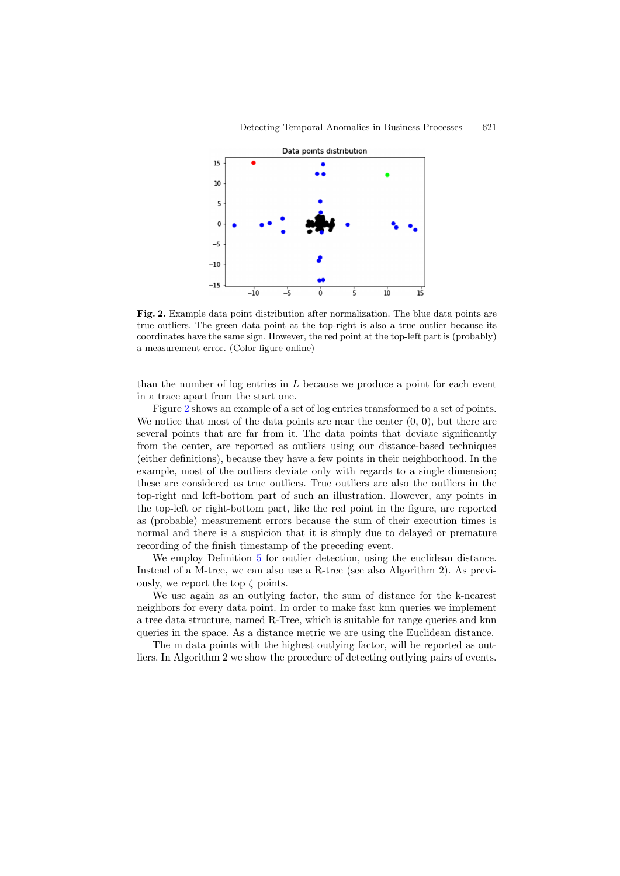

Fig. 2. Example data point distribution after normalization. The blue data points are true outliers. The green data point at the top-right is also a true outlier because its coordinates have the same sign. However, the red point at the top-left part is (probably) a measurement error. (Color figure online)

than the number of log entries in  $L$  because we produce a point for each event in a trace apart from the start one.

Figure 2 shows an example of a set of log entries transformed to a set of points. We notice that most of the data points are near the center  $(0, 0)$ , but there are several points that are far from it. The data points that deviate significantly from the center, are reported as outliers using our distance-based techniques (either definitions), because they have a few points in their neighborhood. In the example, most of the outliers deviate only with regards to a single dimension; these are considered as true outliers. True outliers are also the outliers in the top-right and left-bottom part of such an illustration. However, any points in the top-left or right-bottom part, like the red point in the figure, are reported as (probable) measurement errors because the sum of their execution times is normal and there is a suspicion that it is simply due to delayed or premature recording of the finish timestamp of the preceding event.

We employ Definition 5 for outlier detection, using the euclidean distance. Instead of a M-tree, we can also use a R-tree (see also Algorithm 2). As previously, we report the top  $\zeta$  points.

We use again as an outlying factor, the sum of distance for the k-nearest neighbors for every data point. In order to make fast knn queries we implement a tree data structure, named R-Tree, which is suitable for range queries and knn queries in the space. As a distance metric we are using the Euclidean distance.

The m data points with the highest outlying factor, will be reported as outliers. In Algorithm 2 we show the procedure of detecting outlying pairs of events.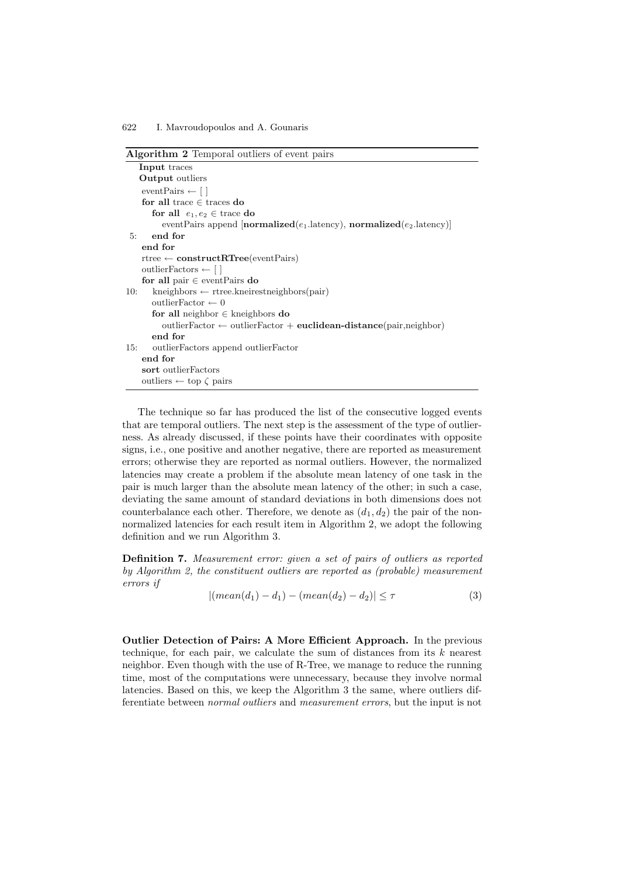| Algorithm 2 Temporal outliers of event pairs                                     |  |  |
|----------------------------------------------------------------------------------|--|--|
| Input traces                                                                     |  |  |
| <b>Output</b> outliers                                                           |  |  |
| event Pairs $\leftarrow$ []                                                      |  |  |
| for all trace $\in$ traces do                                                    |  |  |
| for all $e_1, e_2 \in \text{trace do}$                                           |  |  |
| eventPairs append $[normalized(e_1.latency)]$ , normalized $(e_2.latency)]$      |  |  |
| end for<br>5:                                                                    |  |  |
| end for                                                                          |  |  |
| $rtree \leftarrow \text{constructRTree}(eventPairs)$                             |  |  |
| outlier Factors $\leftarrow$ []                                                  |  |  |
| for all pair $\in$ event Pairs do                                                |  |  |
| $kneighbors \leftarrow rtree.kneirestreighbors(pair)$<br>10:                     |  |  |
| outlier Factor $\leftarrow 0$                                                    |  |  |
| for all neighbor $\in$ kneighbors do                                             |  |  |
| outlier Factor $\leftarrow$ outlier Factor + euclidean-distance (pair, neighbor) |  |  |
| end for                                                                          |  |  |
| 15:<br>outlierFactors append outlierFactor                                       |  |  |
| end for                                                                          |  |  |
| sort outlier Factors                                                             |  |  |
| outliers $\leftarrow$ top $\zeta$ pairs                                          |  |  |

The technique so far has produced the list of the consecutive logged events that are temporal outliers. The next step is the assessment of the type of outlierness. As already discussed, if these points have their coordinates with opposite signs, i.e., one positive and another negative, there are reported as measurement errors; otherwise they are reported as normal outliers. However, the normalized latencies may create a problem if the absolute mean latency of one task in the pair is much larger than the absolute mean latency of the other; in such a case, deviating the same amount of standard deviations in both dimensions does not counterbalance each other. Therefore, we denote as  $(d_1, d_2)$  the pair of the nonnormalized latencies for each result item in Algorithm 2, we adopt the following definition and we run Algorithm 3.

Definition 7. Measurement error: given a set of pairs of outliers as reported by Algorithm 2, the constituent outliers are reported as (probable) measurement errors if

$$
|(mean(d_1) - d_1) - (mean(d_2) - d_2)| \le \tau
$$
\n(3)

Outlier Detection of Pairs: A More Efficient Approach. In the previous technique, for each pair, we calculate the sum of distances from its  $k$  nearest neighbor. Even though with the use of R-Tree, we manage to reduce the running time, most of the computations were unnecessary, because they involve normal latencies. Based on this, we keep the Algorithm 3 the same, where outliers differentiate between normal outliers and measurement errors, but the input is not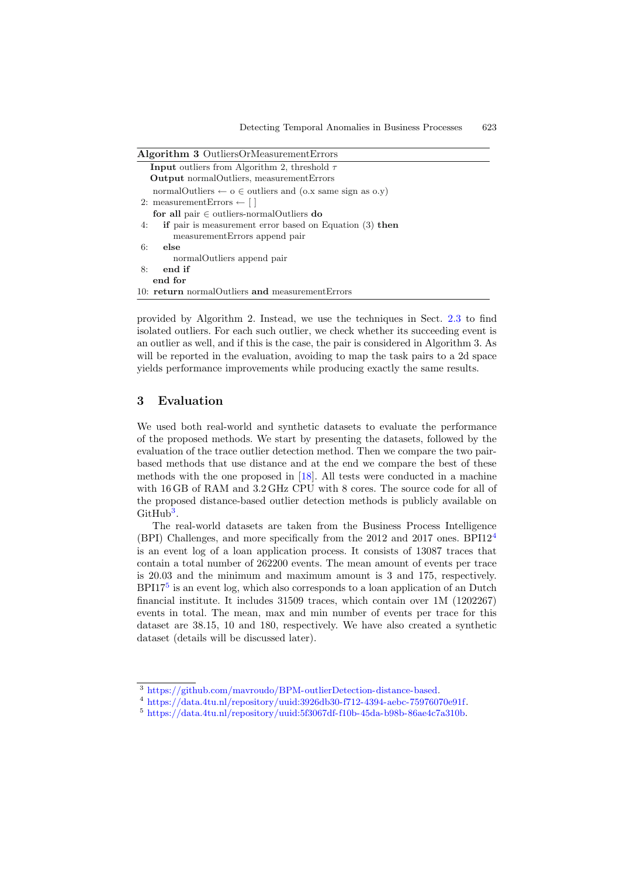| <b>Algorithm 3 OutliersOrMeasurementErrors</b>                          |  |  |
|-------------------------------------------------------------------------|--|--|
| <b>Input</b> outliers from Algorithm 2, threshold $\tau$                |  |  |
| <b>Output</b> normalOutliers, measurementErrors                         |  |  |
| normalOutliers $\leftarrow$ o $\in$ outliers and (o.x same sign as o.y) |  |  |
| 2: measurementErrors $\leftarrow$ []                                    |  |  |
| for all pair $\in$ outliers-normal Outliers do                          |  |  |
| if pair is measurement error based on Equation $(3)$ then<br>4:         |  |  |
| measurement Errors append pair                                          |  |  |
| 6:<br>else                                                              |  |  |
| normalOutliers append pair                                              |  |  |
| end if<br>8:                                                            |  |  |
| end for                                                                 |  |  |
| 10: return normalOutliers and measurementErrors                         |  |  |

provided by Algorithm 2. Instead, we use the techniques in Sect. 2.3 to find isolated outliers. For each such outlier, we check whether its succeeding event is an outlier as well, and if this is the case, the pair is considered in Algorithm 3. As will be reported in the evaluation, avoiding to map the task pairs to a 2d space yields performance improvements while producing exactly the same results.

### 3 Evaluation

We used both real-world and synthetic datasets to evaluate the performance of the proposed methods. We start by presenting the datasets, followed by the evaluation of the trace outlier detection method. Then we compare the two pairbased methods that use distance and at the end we compare the best of these methods with the one proposed in [18]. All tests were conducted in a machine with 16 GB of RAM and 3.2 GHz CPU with 8 cores. The source code for all of the proposed distance-based outlier detection methods is publicly available on  $G$ itHub<sup>3</sup>.

The real-world datasets are taken from the Business Process Intelligence (BPI) Challenges, and more specifically from the 2012 and 2017 ones. BPI12<sup>4</sup> is an event log of a loan application process. It consists of 13087 traces that contain a total number of 262200 events. The mean amount of events per trace is 20.03 and the minimum and maximum amount is 3 and 175, respectively.  $BPI17<sup>5</sup>$  is an event log, which also corresponds to a loan application of an Dutch financial institute. It includes 31509 traces, which contain over 1M (1202267) events in total. The mean, max and min number of events per trace for this dataset are 38.15, 10 and 180, respectively. We have also created a synthetic dataset (details will be discussed later).

<sup>&</sup>lt;sup>3</sup> https://github.com/mavroudo/BPM-outlierDetection-distance-based.

<sup>4</sup> https://data.4tu.nl/repository/uuid:3926db30-f712-4394-aebc-75976070e91f.

<sup>5</sup> https://data.4tu.nl/repository/uuid:5f3067df-f10b-45da-b98b-86ae4c7a310b.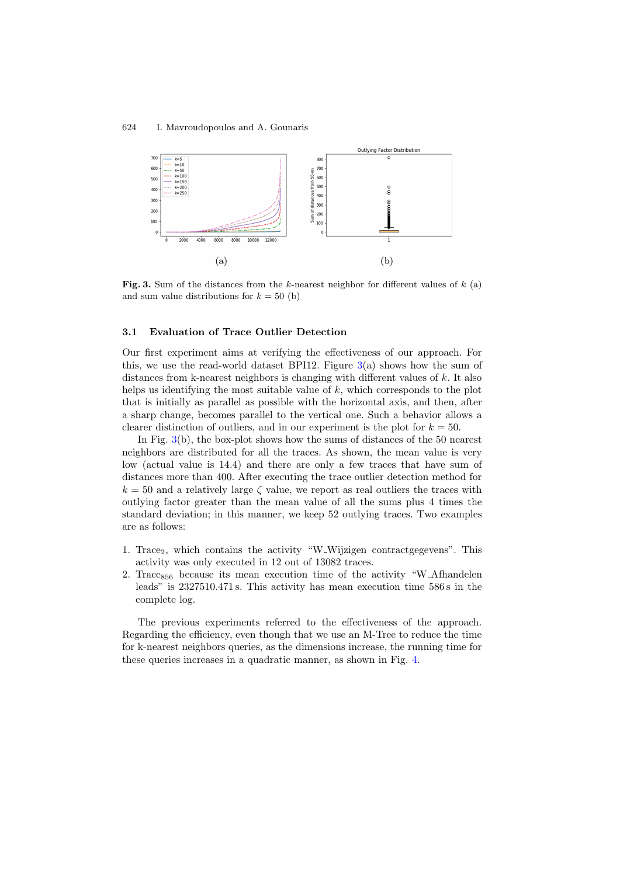

**Fig. 3.** Sum of the distances from the k-nearest neighbor for different values of  $k$  (a) and sum value distributions for  $k = 50$  (b)

### 3.1 Evaluation of Trace Outlier Detection

Our first experiment aims at verifying the effectiveness of our approach. For this, we use the read-world dataset BPI12. Figure  $3(a)$  shows how the sum of distances from k-nearest neighbors is changing with different values of k. It also helps us identifying the most suitable value of k, which corresponds to the plot that is initially as parallel as possible with the horizontal axis, and then, after a sharp change, becomes parallel to the vertical one. Such a behavior allows a clearer distinction of outliers, and in our experiment is the plot for  $k = 50$ .

In Fig. 3(b), the box-plot shows how the sums of distances of the 50 nearest neighbors are distributed for all the traces. As shown, the mean value is very low (actual value is 14.4) and there are only a few traces that have sum of distances more than 400. After executing the trace outlier detection method for  $k = 50$  and a relatively large  $\zeta$  value, we report as real outliers the traces with outlying factor greater than the mean value of all the sums plus 4 times the standard deviation; in this manner, we keep 52 outlying traces. Two examples are as follows:

- 1. Trace<sub>2</sub>, which contains the activity "W<sub>-</sub>Wijzigen contractgegevens". This activity was only executed in 12 out of 13082 traces.
- 2. Trace<sub>856</sub> because its mean execution time of the activity "W<sub>-Afhandelen</sub> leads" is 2327510.471 s. This activity has mean execution time 586 s in the complete log.

The previous experiments referred to the effectiveness of the approach. Regarding the efficiency, even though that we use an M-Tree to reduce the time for k-nearest neighbors queries, as the dimensions increase, the running time for these queries increases in a quadratic manner, as shown in Fig. 4.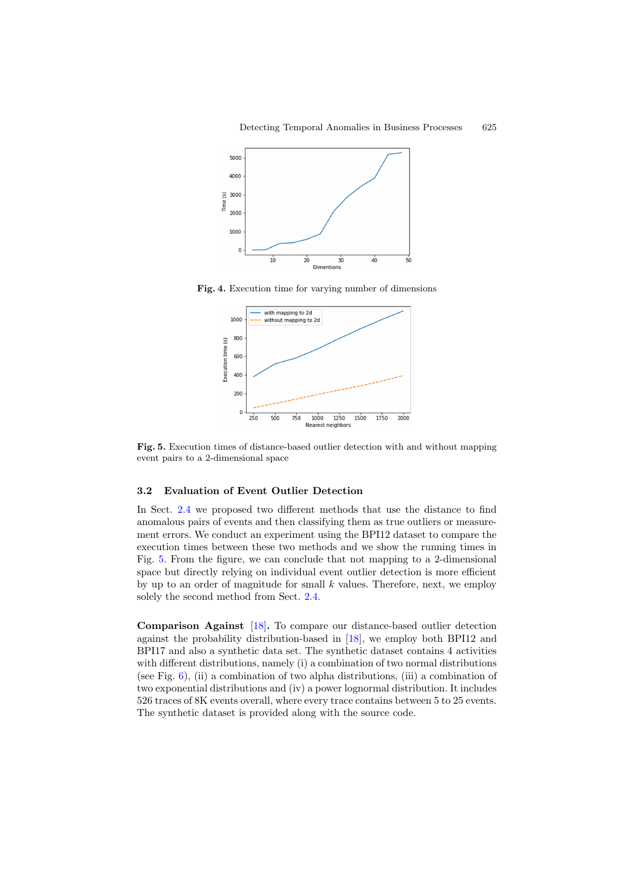

Fig. 4. Execution time for varying number of dimensions



Fig. 5. Execution times of distance-based outlier detection with and without mapping event pairs to a 2-dimensional space

### 3.2 Evaluation of Event Outlier Detection

In Sect. 2.4 we proposed two different methods that use the distance to find anomalous pairs of events and then classifying them as true outliers or measurement errors. We conduct an experiment using the BPI12 dataset to compare the execution times between these two methods and we show the running times in Fig. 5. From the figure, we can conclude that not mapping to a 2-dimensional space but directly relying on individual event outlier detection is more efficient by up to an order of magnitude for small  $k$  values. Therefore, next, we employ solely the second method from Sect. 2.4.

Comparison Against [18]. To compare our distance-based outlier detection against the probability distribution-based in [18], we employ both BPI12 and BPI17 and also a synthetic data set. The synthetic dataset contains 4 activities with different distributions, namely (i) a combination of two normal distributions (see Fig.  $6$ ), (ii) a combination of two alpha distributions, (iii) a combination of two exponential distributions and (iv) a power lognormal distribution. It includes 526 traces of 8K events overall, where every trace contains between 5 to 25 events. The synthetic dataset is provided along with the source code.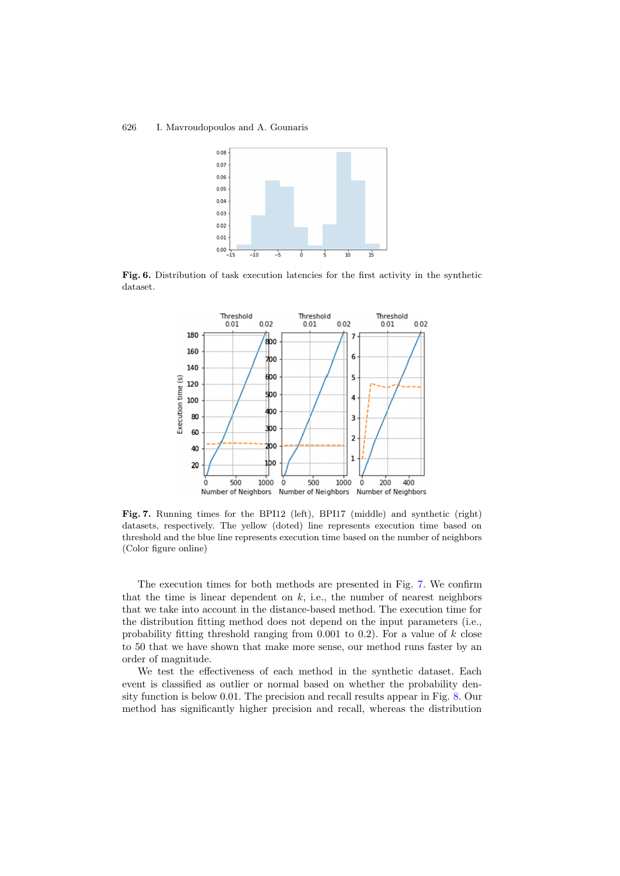

Fig. 6. Distribution of task execution latencies for the first activity in the synthetic dataset.



Fig. 7. Running times for the BPI12 (left), BPI17 (middle) and synthetic (right) datasets, respectively. The yellow (doted) line represents execution time based on threshold and the blue line represents execution time based on the number of neighbors (Color figure online)

The execution times for both methods are presented in Fig. 7. We confirm that the time is linear dependent on  $k$ , i.e., the number of nearest neighbors that we take into account in the distance-based method. The execution time for the distribution fitting method does not depend on the input parameters (i.e., probability fitting threshold ranging from  $0.001$  to  $0.2$ ). For a value of k close to 50 that we have shown that make more sense, our method runs faster by an order of magnitude.

We test the effectiveness of each method in the synthetic dataset. Each event is classified as outlier or normal based on whether the probability density function is below 0.01. The precision and recall results appear in Fig. 8. Our method has significantly higher precision and recall, whereas the distribution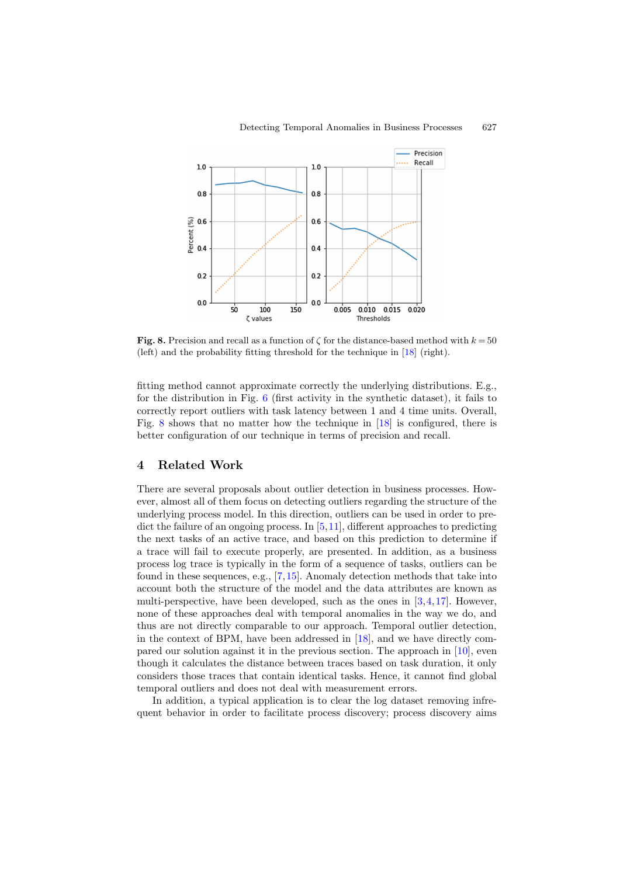

Fig. 8. Precision and recall as a function of  $\zeta$  for the distance-based method with  $k = 50$ (left) and the probability fitting threshold for the technique in [18] (right).

fitting method cannot approximate correctly the underlying distributions. E.g., for the distribution in Fig. 6 (first activity in the synthetic dataset), it fails to correctly report outliers with task latency between 1 and 4 time units. Overall, Fig. 8 shows that no matter how the technique in [18] is configured, there is better configuration of our technique in terms of precision and recall.

# 4 Related Work

There are several proposals about outlier detection in business processes. However, almost all of them focus on detecting outliers regarding the structure of the underlying process model. In this direction, outliers can be used in order to predict the failure of an ongoing process. In [5,11], different approaches to predicting the next tasks of an active trace, and based on this prediction to determine if a trace will fail to execute properly, are presented. In addition, as a business process log trace is typically in the form of a sequence of tasks, outliers can be found in these sequences, e.g., [7,15]. Anomaly detection methods that take into account both the structure of the model and the data attributes are known as multi-perspective, have been developed, such as the ones in  $[3,4,17]$ . However, none of these approaches deal with temporal anomalies in the way we do, and thus are not directly comparable to our approach. Temporal outlier detection, in the context of BPM, have been addressed in [18], and we have directly compared our solution against it in the previous section. The approach in  $[10]$ , even though it calculates the distance between traces based on task duration, it only considers those traces that contain identical tasks. Hence, it cannot find global temporal outliers and does not deal with measurement errors.

In addition, a typical application is to clear the log dataset removing infrequent behavior in order to facilitate process discovery; process discovery aims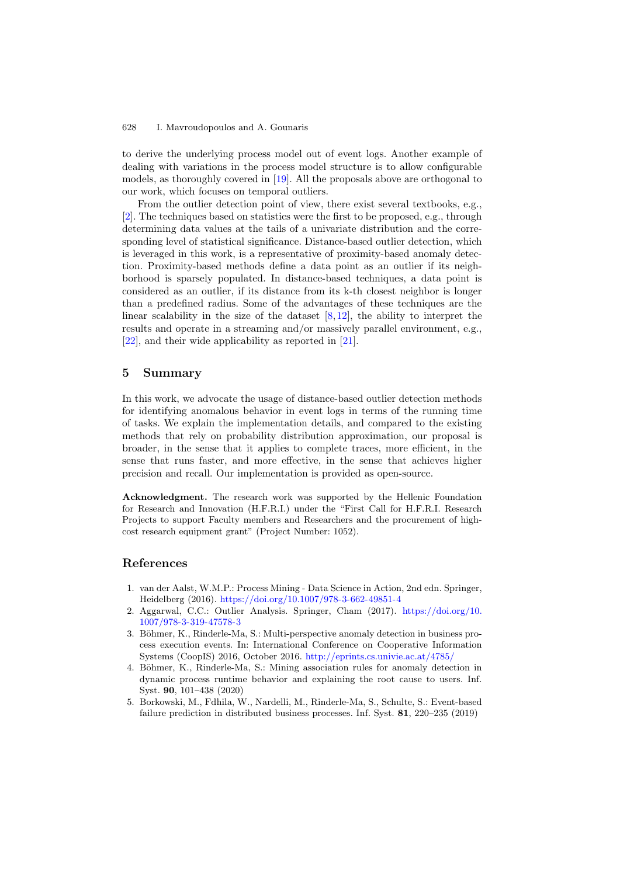to derive the underlying process model out of event logs. Another example of dealing with variations in the process model structure is to allow configurable models, as thoroughly covered in [19]. All the proposals above are orthogonal to our work, which focuses on temporal outliers.

From the outlier detection point of view, there exist several textbooks, e.g., [2]. The techniques based on statistics were the first to be proposed, e.g., through determining data values at the tails of a univariate distribution and the corresponding level of statistical significance. Distance-based outlier detection, which is leveraged in this work, is a representative of proximity-based anomaly detection. Proximity-based methods define a data point as an outlier if its neighborhood is sparsely populated. In distance-based techniques, a data point is considered as an outlier, if its distance from its k-th closest neighbor is longer than a predefined radius. Some of the advantages of these techniques are the linear scalability in the size of the dataset  $[8,12]$ , the ability to interpret the results and operate in a streaming and/or massively parallel environment, e.g., [22], and their wide applicability as reported in [21].

### 5 Summary

In this work, we advocate the usage of distance-based outlier detection methods for identifying anomalous behavior in event logs in terms of the running time of tasks. We explain the implementation details, and compared to the existing methods that rely on probability distribution approximation, our proposal is broader, in the sense that it applies to complete traces, more efficient, in the sense that runs faster, and more effective, in the sense that achieves higher precision and recall. Our implementation is provided as open-source.

Acknowledgment. The research work was supported by the Hellenic Foundation for Research and Innovation (H.F.R.I.) under the "First Call for H.F.R.I. Research Projects to support Faculty members and Researchers and the procurement of highcost research equipment grant" (Project Number: 1052).

# References

- 1. van der Aalst, W.M.P.: Process Mining Data Science in Action, 2nd edn. Springer, Heidelberg (2016). https://doi.org/10.1007/978-3-662-49851-4
- 2. Aggarwal, C.C.: Outlier Analysis. Springer, Cham (2017). https://doi.org/10. 1007/978-3-319-47578-3
- 3. Böhmer, K., Rinderle-Ma, S.; Multi-perspective anomaly detection in business process execution events. In: International Conference on Cooperative Information Systems (CoopIS) 2016, October 2016. http://eprints.cs.univie.ac.at/4785/
- 4. Böhmer, K., Rinderle-Ma, S.: Mining association rules for anomaly detection in dynamic process runtime behavior and explaining the root cause to users. Inf. Syst. 90, 101–438 (2020)
- 5. Borkowski, M., Fdhila, W., Nardelli, M., Rinderle-Ma, S., Schulte, S.: Event-based failure prediction in distributed business processes. Inf. Syst. 81, 220–235 (2019)